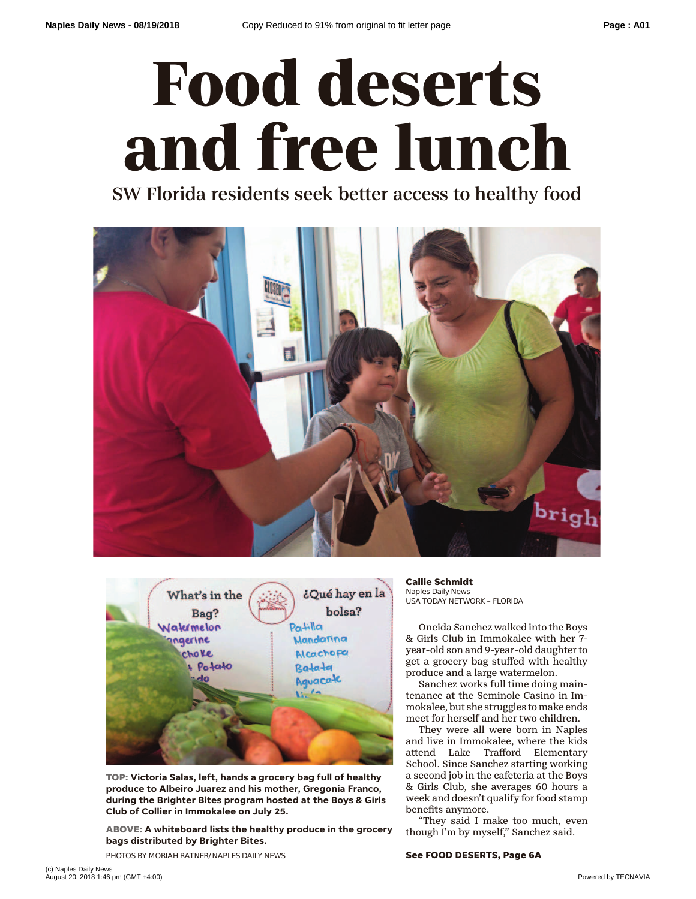## **Food deserts and free lunch**

SW Florida residents seek better access to healthy food





**TOP: Victoria Salas, left, hands a grocery bag full of healthy produce to Albeiro Juarez and his mother, Gregonia Franco, during the Brighter Bites program hosted at the Boys & Girls Club of Collier in Immokalee on July 25.**

**ABOVE: A whiteboard lists the healthy produce in the grocery bags distributed by Brighter Bites.**

PHOTOS BY MORIAH RATNER/NAPLES DAILY NEWS

**Callie Schmidt** Naples Daily News USA TODAY NETWORK – FLORIDA

Oneida Sanchez walked into the Boys & Girls Club in Immokalee with her 7 year-old son and 9-year-old daughter to get a grocery bag stuffed with healthy produce and a large watermelon.

Sanchez works full time doing maintenance at the Seminole Casino in Immokalee, but she struggles to make ends meet for herself and her two children.

They were all were born in Naples and live in Immokalee, where the kids attend Lake Trafford Elementary School. Since Sanchez starting working a second job in the cafeteria at the Boys & Girls Club, she averages 60 hours a week and doesn't qualify for food stamp benefits anymore.

"They said I make too much, even though I'm by myself," Sanchez said.

**See FOOD DESERTS, Page 6A**